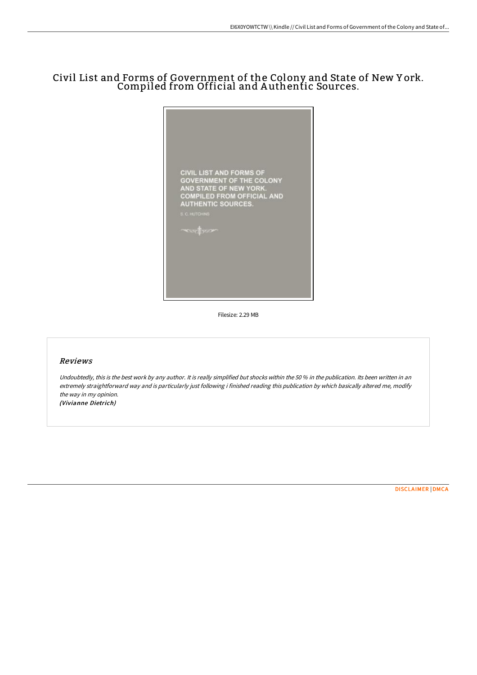# Civil List and Forms of Government of the Colony and State of New Y ork. Compiled from Official and A uthentic Sources.



Filesize: 2.29 MB

### Reviews

Undoubtedly, this is the best work by any author. It is really simplified but shocks within the 50 % in the publication. Its been written in an extremely straightforward way and is particularly just following i finished reading this publication by which basically altered me, modify the way in my opinion. (Vivianne Dietrich)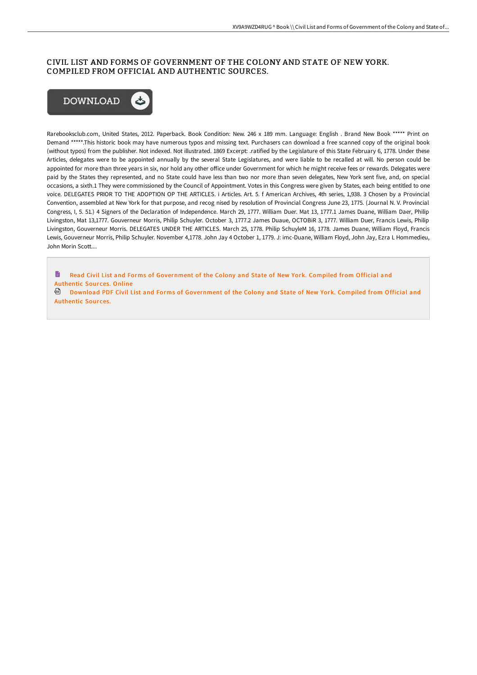## CIVIL LIST AND FORMS OF GOVERNMENT OF THE COLONY AND STATE OF NEW YORK. COMPILED FROM OFFICIAL AND AUTHENTIC SOURCES.



Rarebooksclub.com, United States, 2012. Paperback. Book Condition: New. 246 x 189 mm. Language: English . Brand New Book \*\*\*\*\* Print on Demand \*\*\*\*\*.This historic book may have numerous typos and missing text. Purchasers can download a free scanned copy of the original book (without typos) from the publisher. Not indexed. Not illustrated. 1869 Excerpt: .ratified by the Legislature of this State February 6, 1778. Under these Articles, delegates were to be appointed annually by the several State Legislatures, and were liable to be recalled at will. No person could be appointed for more than three years in six, nor hold any other office under Government for which he might receive fees or rewards. Delegates were paid by the States they represented, and no State could have less than two nor more than seven delegates, New York sent five, and, on special occasions, a sixth.1 They were commissioned by the Council of Appointment. Votes in this Congress were given by States, each being entitled to one voice. DELEGATES PRIOR TO THE ADOPTION OP THE ARTICLES. i Articles. Art. 5. f American Archives, 4th series, 1,938. 3 Chosen by a Provincial Convention, assembled at New York for that purpose, and recog nised by resolution of Provincial Congress June 23, 1775. (Journal N. V. Provincial Congress, I, 5. 51.) 4 Signers of the Declaration of Independence. March 29, 1777. William Duer. Mat 13, 1777.1 James Duane, William Daer, Philip Livingston, Mat 13,1777. Gouverneur Morris, Philip Schuyler. October 3, 1777.2 James Duaue, OCTOBiR 3, 1777. William Duer, Francis Lewis, Philip Livingston, Gouverneur Morris. DELEGATES UNDER THE ARTICLES. March 25, 1778. Philip SchuyleM 16, 1778. James Duane, William Floyd, Francis Lewis, Gouverneur Morris, Philip Schuyler. November 4,1778. John Jay 4 October 1, 1779. J: imc-Duane, William Floyd, John Jay, Ezra L Hommedieu, John Morin Scott....

Read Civil List and Forms of [Government](http://digilib.live/civil-list-and-forms-of-government-of-the-colony-2.html) of the Colony and State of New York. Compiled from Official and Authentic Sources. Online

Download PDF Civil List and Forms of [Government](http://digilib.live/civil-list-and-forms-of-government-of-the-colony-2.html) of the Colony and State of New York. Compiled from Official and **Authentic Sources.**